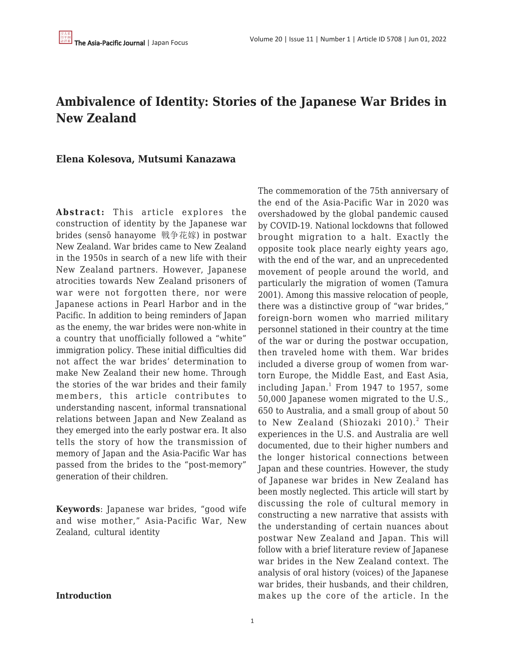## **Ambivalence of Identity: Stories of the Japanese War Brides in New Zealand**

#### **Elena Kolesova, Mutsumi Kanazawa**

**Abstract:** This article explores the construction of identity by the Japanese war brides (sensō hanayome 戦争花嫁) in postwar New Zealand. War brides came to New Zealand in the 1950s in search of a new life with their New Zealand partners. However, Japanese atrocities towards New Zealand prisoners of war were not forgotten there, nor were Japanese actions in Pearl Harbor and in the Pacific. In addition to being reminders of Japan as the enemy, the war brides were non-white in a country that unofficially followed a "white" immigration policy. These initial difficulties did not affect the war brides' determination to make New Zealand their new home. Through the stories of the war brides and their family members, this article contributes to understanding nascent, informal transnational relations between Japan and New Zealand as they emerged into the early postwar era. It also tells the story of how the transmission of memory of Japan and the Asia-Pacific War has passed from the brides to the "post-memory" generation of their children.

**Keywords**: Japanese war brides, "good wife and wise mother," Asia-Pacific War, New Zealand, cultural identity

The commemoration of the 75th anniversary of the end of the Asia-Pacific War in 2020 was overshadowed by the global pandemic caused by COVID-19. National lockdowns that followed brought migration to a halt. Exactly the opposite took place nearly eighty years ago, with the end of the war, and an unprecedented movement of people around the world, and particularly the migration of women (Tamura 2001). Among this massive relocation of people, there was a distinctive group of "war brides," foreign-born women who married military personnel stationed in their country at the time of the war or during the postwar occupation, then traveled home with them. War brides included a diverse group of women from wartorn Europe, the Middle East, and East Asia, including Japan. $^{\rm 1}$  From 1947 to 1957, some 50,000 Japanese women migrated to the U.S., 650 to Australia, and a small group of about 50 to New Zealand (Shiozaki 2010).<sup>2</sup> Their experiences in the U.S. and Australia are well documented, due to their higher numbers and the longer historical connections between Japan and these countries. However, the study of Japanese war brides in New Zealand has been mostly neglected. This article will start by discussing the role of cultural memory in constructing a new narrative that assists with the understanding of certain nuances about postwar New Zealand and Japan. This will follow with a brief literature review of Japanese war brides in the New Zealand context. The analysis of oral history (voices) of the Japanese war brides, their husbands, and their children, makes up the core of the article. In the

**Introduction**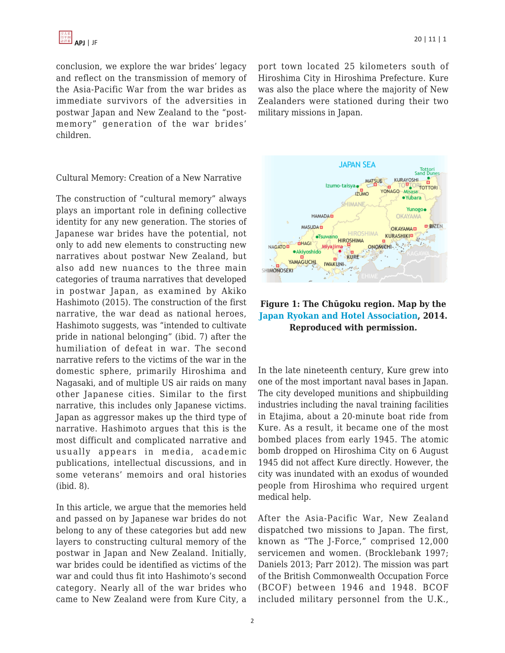

conclusion, we explore the war brides' legacy and reflect on the transmission of memory of the Asia-Pacific War from the war brides as immediate survivors of the adversities in postwar Japan and New Zealand to the "postmemory" generation of the war brides' children.

Cultural Memory: Creation of a New Narrative

The construction of "cultural memory" always plays an important role in defining collective identity for any new generation. The stories of Japanese war brides have the potential, not only to add new elements to constructing new narratives about postwar New Zealand, but also add new nuances to the three main categories of trauma narratives that developed in postwar Japan, as examined by Akiko Hashimoto (2015). The construction of the first narrative, the war dead as national heroes, Hashimoto suggests, was "intended to cultivate pride in national belonging" (ibid. 7) after the humiliation of defeat in war. The second narrative refers to the victims of the war in the domestic sphere, primarily Hiroshima and Nagasaki, and of multiple US air raids on many other Japanese cities. Similar to the first narrative, this includes only Japanese victims. Japan as aggressor makes up the third type of narrative. Hashimoto argues that this is the most difficult and complicated narrative and usually appears in media, academic publications, intellectual discussions, and in some veterans' memoirs and oral histories (ibid. 8).

In this article, we argue that the memories held and passed on by Japanese war brides do not belong to any of these categories but add new layers to constructing cultural memory of the postwar in Japan and New Zealand. Initially, war brides could be identified as victims of the war and could thus fit into Hashimoto's second category. Nearly all of the war brides who came to New Zealand were from Kure City, a

port town located 25 kilometers south of Hiroshima City in Hiroshima Prefecture. Kure was also the place where the majority of New Zealanders were stationed during their two military missions in Japan.



### **Figure 1: The Chūgoku region. Map by the [Japan Ryokan and Hotel Association,](https://www.ryokan.or.jp/english/search/local/H) 2014. Reproduced with permission.**

In the late nineteenth century, Kure grew into one of the most important naval bases in Japan. The city developed munitions and shipbuilding industries including the naval training facilities in Etajima, about a 20-minute boat ride from Kure. As a result, it became one of the most bombed places from early 1945. The atomic bomb dropped on Hiroshima City on 6 August 1945 did not affect Kure directly. However, the city was inundated with an exodus of wounded people from Hiroshima who required urgent medical help.

After the Asia-Pacific War, New Zealand dispatched two missions to Japan. The first, known as "The J-Force," comprised 12,000 servicemen and women. (Brocklebank 1997; Daniels 2013; Parr 2012). The mission was part of the British Commonwealth Occupation Force (BCOF) between 1946 and 1948. BCOF included military personnel from the U.K.,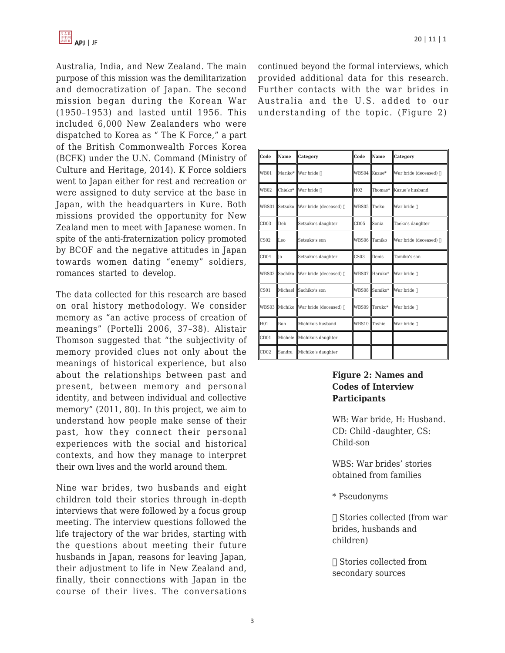

Australia, India, and New Zealand. The main purpose of this mission was the demilitarization and democratization of Japan. The second mission began during the Korean War (1950–1953) and lasted until 1956. This included 6,000 New Zealanders who were dispatched to Korea as " The K Force," a part of the British Commonwealth Forces Korea (BCFK) under the U.N. Command (Ministry of Culture and Heritage, 2014). K Force soldiers went to Japan either for rest and recreation or were assigned to duty service at the base in Japan, with the headquarters in Kure. Both missions provided the opportunity for New Zealand men to meet with Japanese women. In spite of the anti-fraternization policy promoted by BCOF and the negative attitudes in Japan towards women dating "enemy" soldiers, romances started to develop.

The data collected for this research are based on oral history methodology. We consider memory as "an active process of creation of meanings" (Portelli 2006, 37–38). Alistair Thomson suggested that "the subjectivity of memory provided clues not only about the meanings of historical experience, but also about the relationships between past and present, between memory and personal identity, and between individual and collective memory" (2011, 80). In this project, we aim to understand how people make sense of their past, how they connect their personal experiences with the social and historical contexts, and how they manage to interpret their own lives and the world around them.

Nine war brides, two husbands and eight children told their stories through in-depth interviews that were followed by a focus group meeting. The interview questions followed the life trajectory of the war brides, starting with the questions about meeting their future husbands in Japan, reasons for leaving Japan, their adjustment to life in New Zealand and, finally, their connections with Japan in the course of their lives. The conversations continued beyond the formal interviews, which provided additional data for this research. Further contacts with the war brides in Australia and the U.S. added to our understanding of the topic. (Figure 2)

| Code             | Name       | Category                             | Code             | Name          | Category                |
|------------------|------------|--------------------------------------|------------------|---------------|-------------------------|
| <b>WB01</b>      |            | Mariko*   War bride ⊓                | WBS04 Kazue*     |               | War bride (deceased) [] |
| WB02             | Chieko*    | $\ $ War bride $\ $                  | H <sub>02</sub>  | Thomas*       | Kazue's husband         |
|                  |            | WBS01 Setsuko War bride (deceased) ∏ | WBS05            | Taeko         | War bride n             |
| CD03             | Deb        | Setsuko's daughter                   | CD05             | Sonia         | Taeko's daughter        |
| CS <sub>02</sub> | Leo        | Setsuko's son                        | <b>WBS06</b>     | Tamiko        | War bride (deceased) [  |
| CD04             | <b>I</b> o | Setsuko's daughter                   | CS <sub>03</sub> | Denis         | Tamiko's son            |
|                  |            | WBS02 Sachiko War bride (deceased) ∏ |                  | WBS07 Haruko* | War bride ⊓             |
| CS <sub>01</sub> |            | Michael   Sachiko's son              |                  | WBS08 Sumiko* | War bride               |
|                  |            | WBS03 Michiko War bride (deceased) ∏ | WBS09            | Teruko*       | War bride ∏             |
| H01              | <b>Bob</b> | Michiko's husband                    | <b>WBS10</b>     | Toshie        | War bride n             |
| CD01             |            | Michele Michiko's daughter           |                  |               |                         |
| CD02             | Sandra     | Michiko's daughter                   |                  |               |                         |

#### **Figure 2: Names and Codes of Interview Participants**

WB: War bride, H: Husband. CD: Child -daughter, CS: Child-son

WBS: War brides' stories obtained from families

\* Pseudonyms

 $\Box$  Stories collected (from war brides, husbands and children)

 $\Box$  Stories collected from secondary sources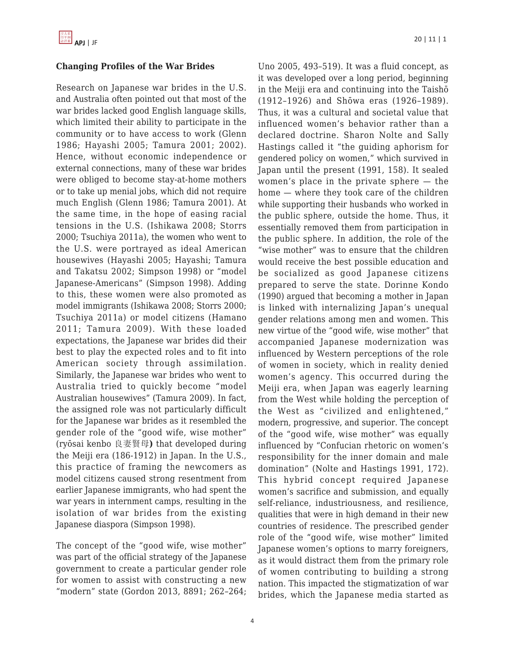#### **Changing Profiles of the War Brides**

Research on Japanese war brides in the U.S. and Australia often pointed out that most of the war brides lacked good English language skills, which limited their ability to participate in the community or to have access to work (Glenn 1986; Hayashi 2005; Tamura 2001; 2002). Hence, without economic independence or external connections, many of these war brides were obliged to become stay-at-home mothers or to take up menial jobs, which did not require much English (Glenn 1986; Tamura 2001). At the same time, in the hope of easing racial tensions in the U.S. (Ishikawa 2008; Storrs 2000; Tsuchiya 2011a), the women who went to the U.S. were portrayed as ideal American housewives (Hayashi 2005; Hayashi; Tamura and Takatsu 2002; Simpson 1998) or "model Japanese-Americans" (Simpson 1998). Adding to this, these women were also promoted as model immigrants (Ishikawa 2008; Storrs 2000; Tsuchiya 2011a) or model citizens (Hamano 2011; Tamura 2009). With these loaded expectations, the Japanese war brides did their best to play the expected roles and to fit into American society through assimilation. Similarly, the Japanese war brides who went to Australia tried to quickly become "model Australian housewives" (Tamura 2009). In fact, the assigned role was not particularly difficult for the Japanese war brides as it resembled the gender role of the "good wife, wise mother" (ryōsai kenbo 良妻賢母**)** that developed during the Meiji era (186-1912) in Japan. In the U.S., this practice of framing the newcomers as model citizens caused strong resentment from earlier Japanese immigrants, who had spent the war years in internment camps, resulting in the isolation of war brides from the existing Japanese diaspora (Simpson 1998).

The concept of the "good wife, wise mother" was part of the official strategy of the Japanese government to create a particular gender role for women to assist with constructing a new "modern" state (Gordon 2013, 8891; 262–264; Uno 2005, 493–519). It was a fluid concept, as it was developed over a long period, beginning in the Meiji era and continuing into the Taishō (1912–1926) and Shōwa eras (1926–1989). Thus, it was a cultural and societal value that influenced women's behavior rather than a declared doctrine. Sharon Nolte and Sally Hastings called it "the guiding aphorism for gendered policy on women," which survived in Japan until the present (1991, 158). It sealed women's place in the private sphere — the home — where they took care of the children while supporting their husbands who worked in the public sphere, outside the home. Thus, it essentially removed them from participation in the public sphere. In addition, the role of the "wise mother" was to ensure that the children would receive the best possible education and be socialized as good Japanese citizens prepared to serve the state. Dorinne Kondo (1990) argued that becoming a mother in Japan is linked with internalizing Japan's unequal gender relations among men and women. This new virtue of the "good wife, wise mother" that accompanied Japanese modernization was influenced by Western perceptions of the role of women in society, which in reality denied women's agency. This occurred during the Meiji era, when Japan was eagerly learning from the West while holding the perception of the West as "civilized and enlightened," modern, progressive, and superior. The concept of the "good wife, wise mother" was equally influenced by "Confucian rhetoric on women's responsibility for the inner domain and male domination" (Nolte and Hastings 1991, 172). This hybrid concept required Japanese women's sacrifice and submission, and equally self-reliance, industriousness, and resilience, qualities that were in high demand in their new countries of residence. The prescribed gender role of the "good wife, wise mother" limited Japanese women's options to marry foreigners, as it would distract them from the primary role of women contributing to building a strong nation. This impacted the stigmatization of war brides, which the Japanese media started as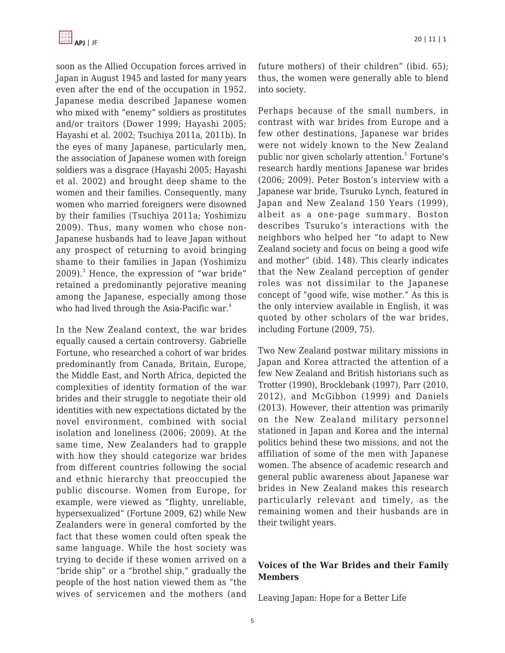soon as the Allied Occupation forces arrived in Japan in August 1945 and lasted for many years even after the end of the occupation in 1952. Japanese media described Japanese women who mixed with "enemy" soldiers as prostitutes and/or traitors (Dower 1999; Hayashi 2005; Hayashi et al. 2002; Tsuchiya 2011a, 2011b). In the eyes of many Japanese, particularly men, the association of Japanese women with foreign soldiers was a disgrace (Hayashi 2005; Hayashi et al. 2002) and brought deep shame to the women and their families. Consequently, many women who married foreigners were disowned by their families (Tsuchiya 2011a; Yoshimizu 2009). Thus, many women who chose non-Japanese husbands had to leave Japan without any prospect of returning to avoid bringing shame to their families in Japan (Yoshimizu 2009).<sup>3</sup> Hence, the expression of "war bride" retained a predominantly pejorative meaning among the Japanese, especially among those who had lived through the Asia-Pacific war.<sup>4</sup>

In the New Zealand context, the war brides equally caused a certain controversy. Gabrielle Fortune, who researched a cohort of war brides predominantly from Canada, Britain, Europe, the Middle East, and North Africa, depicted the complexities of identity formation of the war brides and their struggle to negotiate their old identities with new expectations dictated by the novel environment, combined with social isolation and loneliness (2006; 2009). At the same time, New Zealanders had to grapple with how they should categorize war brides from different countries following the social and ethnic hierarchy that preoccupied the public discourse. Women from Europe, for example, were viewed as "flighty, unreliable, hypersexualized" (Fortune 2009, 62) while New Zealanders were in general comforted by the fact that these women could often speak the same language. While the host society was trying to decide if these women arrived on a "bride ship" or a "brothel ship," gradually the people of the host nation viewed them as "the wives of servicemen and the mothers (and future mothers) of their children" (ibid. 65); thus, the women were generally able to blend into society.

Perhaps because of the small numbers, in contrast with war brides from Europe and a few other destinations, Japanese war brides were not widely known to the New Zealand public nor given scholarly attention.<sup>5</sup> Fortune's research hardly mentions Japanese war brides (2006; 2009). Peter Boston's interview with a Japanese war bride, Tsuruko Lynch, featured in Japan and New Zealand 150 Years (1999), albeit as a one-page summary. Boston describes Tsuruko's interactions with the neighbors who helped her "to adapt to New Zealand society and focus on being a good wife and mother" (ibid. 148). This clearly indicates that the New Zealand perception of gender roles was not dissimilar to the Japanese concept of "good wife, wise mother." As this is the only interview available in English, it was quoted by other scholars of the war brides, including Fortune (2009, 75).

Two New Zealand postwar military missions in Japan and Korea attracted the attention of a few New Zealand and British historians such as Trotter (1990), Brocklebank (1997), Parr (2010, 2012), and McGibbon (1999) and Daniels (2013). However, their attention was primarily on the New Zealand military personnel stationed in Japan and Korea and the internal politics behind these two missions, and not the affiliation of some of the men with Japanese women. The absence of academic research and general public awareness about Japanese war brides in New Zealand makes this research particularly relevant and timely, as the remaining women and their husbands are in their twilight years.

## **Voices of the War Brides and their Family Members**

Leaving Japan: Hope for a Better Life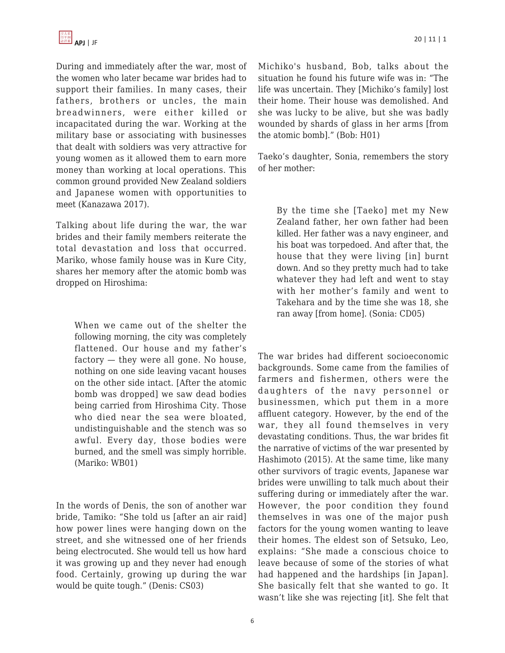During and immediately after the war, most of the women who later became war brides had to support their families. In many cases, their fathers, brothers or uncles, the main breadwinners, were either killed or incapacitated during the war. Working at the military base or associating with businesses that dealt with soldiers was very attractive for young women as it allowed them to earn more money than working at local operations. This common ground provided New Zealand soldiers and Japanese women with opportunities to meet (Kanazawa 2017).

Talking about life during the war, the war brides and their family members reiterate the total devastation and loss that occurred. Mariko, whose family house was in Kure City, shares her memory after the atomic bomb was dropped on Hiroshima:

When we came out of the shelter the following morning, the city was completely flattened. Our house and my father's factory — they were all gone. No house, nothing on one side leaving vacant houses on the other side intact. [After the atomic bomb was dropped] we saw dead bodies being carried from Hiroshima City. Those who died near the sea were bloated, undistinguishable and the stench was so awful. Every day, those bodies were burned, and the smell was simply horrible. (Mariko: WB01)

In the words of Denis, the son of another war bride, Tamiko: "She told us [after an air raid] how power lines were hanging down on the street, and she witnessed one of her friends being electrocuted. She would tell us how hard it was growing up and they never had enough food. Certainly, growing up during the war would be quite tough." (Denis: CS03)

Michiko's husband, Bob, talks about the situation he found his future wife was in: "The life was uncertain. They [Michiko's family] lost their home. Their house was demolished. And she was lucky to be alive, but she was badly wounded by shards of glass in her arms [from the atomic bomb]." (Bob: H01)

Taeko's daughter, Sonia, remembers the story of her mother:

By the time she [Taeko] met my New Zealand father, her own father had been killed. Her father was a navy engineer, and his boat was torpedoed. And after that, the house that they were living [in] burnt down. And so they pretty much had to take whatever they had left and went to stay with her mother's family and went to Takehara and by the time she was 18, she ran away [from home]. (Sonia: CD05)

The war brides had different socioeconomic backgrounds. Some came from the families of farmers and fishermen, others were the daughters of the navy personnel or businessmen, which put them in a more affluent category. However, by the end of the war, they all found themselves in very devastating conditions. Thus, the war brides fit the narrative of victims of the war presented by Hashimoto (2015). At the same time, like many other survivors of tragic events, Japanese war brides were unwilling to talk much about their suffering during or immediately after the war. However, the poor condition they found themselves in was one of the major push factors for the young women wanting to leave their homes. The eldest son of Setsuko, Leo, explains: "She made a conscious choice to leave because of some of the stories of what had happened and the hardships [in Japan]. She basically felt that she wanted to go. It wasn't like she was rejecting [it]. She felt that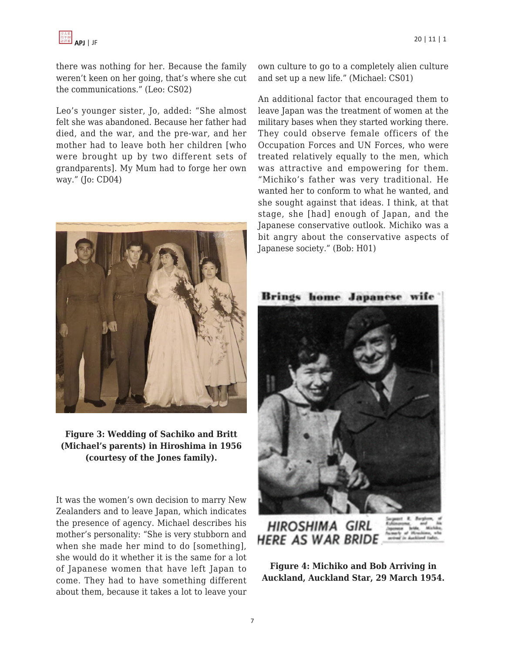

there was nothing for her. Because the family weren't keen on her going, that's where she cut the communications." (Leo: CS02)

Leo's younger sister, Jo, added: "She almost felt she was abandoned. Because her father had died, and the war, and the pre-war, and her mother had to leave both her children [who were brought up by two different sets of grandparents]. My Mum had to forge her own way." (Jo: CD04)



**Figure 3: Wedding of Sachiko and Britt (Michael's parents) in Hiroshima in 1956 (courtesy of the Jones family).**

It was the women's own decision to marry New Zealanders and to leave Japan, which indicates the presence of agency. Michael describes his mother's personality: "She is very stubborn and when she made her mind to do [something]. she would do it whether it is the same for a lot of Japanese women that have left Japan to come. They had to have something different about them, because it takes a lot to leave your own culture to go to a completely alien culture and set up a new life." (Michael: CS01)

An additional factor that encouraged them to leave Japan was the treatment of women at the military bases when they started working there. They could observe female officers of the Occupation Forces and UN Forces, who were treated relatively equally to the men, which was attractive and empowering for them. "Michiko's father was very traditional. He wanted her to conform to what he wanted, and she sought against that ideas. I think, at that stage, she [had] enough of Japan, and the Japanese conservative outlook. Michiko was a bit angry about the conservative aspects of Japanese society." (Bob: H01)



**HIROSHIMA GIRL HERE AS WAR BRIDE** 

**Figure 4: Michiko and Bob Arriving in Auckland, Auckland Star, 29 March 1954.**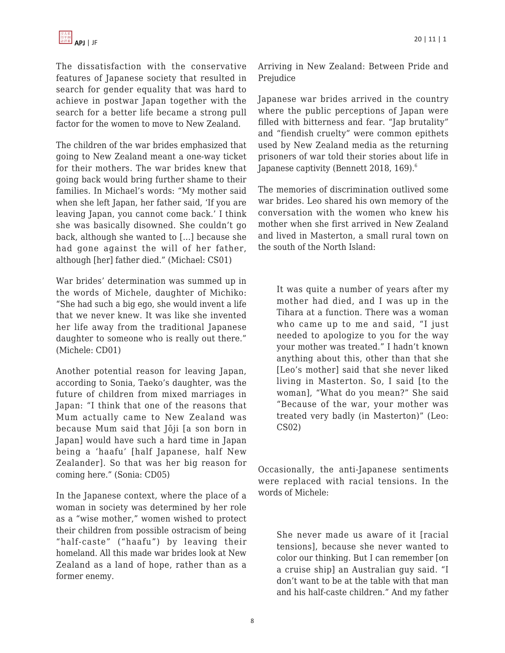The dissatisfaction with the conservative features of Japanese society that resulted in search for gender equality that was hard to achieve in postwar Japan together with the search for a better life became a strong pull factor for the women to move to New Zealand.

The children of the war brides emphasized that going to New Zealand meant a one-way ticket for their mothers. The war brides knew that going back would bring further shame to their families. In Michael's words: "My mother said when she left Japan, her father said, 'If you are leaving Japan, you cannot come back.' I think she was basically disowned. She couldn't go back, although she wanted to […] because she had gone against the will of her father, although [her] father died." (Michael: CS01)

War brides' determination was summed up in the words of Michele, daughter of Michiko: "She had such a big ego, she would invent a life that we never knew. It was like she invented her life away from the traditional Japanese daughter to someone who is really out there." (Michele: CD01)

Another potential reason for leaving Japan, according to Sonia, Taeko's daughter, was the future of children from mixed marriages in Japan: "I think that one of the reasons that Mum actually came to New Zealand was because Mum said that Jōji [a son born in Japan] would have such a hard time in Japan being a 'haafu' [half Japanese, half New Zealander]. So that was her big reason for coming here." (Sonia: CD05)

In the Japanese context, where the place of a woman in society was determined by her role as a "wise mother," women wished to protect their children from possible ostracism of being "half-caste" ("haafu") by leaving their homeland. All this made war brides look at New Zealand as a land of hope, rather than as a former enemy.

Arriving in New Zealand: Between Pride and Prejudice

Japanese war brides arrived in the country where the public perceptions of Japan were filled with bitterness and fear. "Jap brutality" and "fiendish cruelty" were common epithets used by New Zealand media as the returning prisoners of war told their stories about life in Japanese captivity (Bennett 2018, 169).<sup>6</sup>

The memories of discrimination outlived some war brides. Leo shared his own memory of the conversation with the women who knew his mother when she first arrived in New Zealand and lived in Masterton, a small rural town on the south of the North Island:

It was quite a number of years after my mother had died, and I was up in the Tihara at a function. There was a woman who came up to me and said, "I just needed to apologize to you for the way your mother was treated." I hadn't known anything about this, other than that she [Leo's mother] said that she never liked living in Masterton. So, I said [to the woman], "What do you mean?" She said "Because of the war, your mother was treated very badly (in Masterton)" (Leo: CS02)

Occasionally, the anti-Japanese sentiments were replaced with racial tensions. In the words of Michele:

She never made us aware of it [racial tensions], because she never wanted to color our thinking. But I can remember [on a cruise ship] an Australian guy said. "I don't want to be at the table with that man and his half-caste children." And my father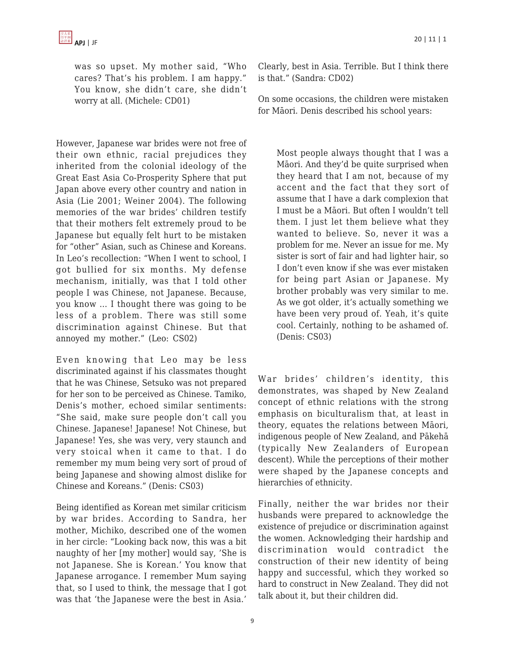was so upset. My mother said, "Who cares? That's his problem. I am happy." You know, she didn't care, she didn't worry at all. (Michele: CD01)

However, Japanese war brides were not free of their own ethnic, racial prejudices they inherited from the colonial ideology of the Great East Asia Co-Prosperity Sphere that put Japan above every other country and nation in Asia (Lie 2001; Weiner 2004). The following memories of the war brides' children testify that their mothers felt extremely proud to be Japanese but equally felt hurt to be mistaken for "other" Asian, such as Chinese and Koreans. In Leo's recollection: "When I went to school, I got bullied for six months. My defense mechanism, initially, was that I told other people I was Chinese, not Japanese. Because, you know … I thought there was going to be less of a problem. There was still some discrimination against Chinese. But that annoyed my mother." (Leo: CS02)

Even knowing that Leo may be less discriminated against if his classmates thought that he was Chinese, Setsuko was not prepared for her son to be perceived as Chinese. Tamiko, Denis's mother, echoed similar sentiments: "She said, make sure people don't call you Chinese. Japanese! Japanese! Not Chinese, but Japanese! Yes, she was very, very staunch and very stoical when it came to that. I do remember my mum being very sort of proud of being Japanese and showing almost dislike for Chinese and Koreans." (Denis: CS03)

Being identified as Korean met similar criticism by war brides. According to Sandra, her mother, Michiko, described one of the women in her circle: "Looking back now, this was a bit naughty of her [my mother] would say, 'She is not Japanese. She is Korean.' You know that Japanese arrogance. I remember Mum saying that, so I used to think, the message that I got was that 'the Japanese were the best in Asia.'

Clearly, best in Asia. Terrible. But I think there is that." (Sandra: CD02)

On some occasions, the children were mistaken for Māori. Denis described his school years:

Most people always thought that I was a Māori. And they'd be quite surprised when they heard that I am not, because of my accent and the fact that they sort of assume that I have a dark complexion that I must be a Māori. But often I wouldn't tell them. I just let them believe what they wanted to believe. So, never it was a problem for me. Never an issue for me. My sister is sort of fair and had lighter hair, so I don't even know if she was ever mistaken for being part Asian or Japanese. My brother probably was very similar to me. As we got older, it's actually something we have been very proud of. Yeah, it's quite cool. Certainly, nothing to be ashamed of. (Denis: CS03)

War brides' children's identity, this demonstrates, was shaped by New Zealand concept of ethnic relations with the strong emphasis on biculturalism that, at least in theory, equates the relations between Māori, indigenous people of New Zealand, and Pākehā (typically New Zealanders of European descent). While the perceptions of their mother were shaped by the Japanese concepts and hierarchies of ethnicity.

Finally, neither the war brides nor their husbands were prepared to acknowledge the existence of prejudice or discrimination against the women. Acknowledging their hardship and discrimination would contradict the construction of their new identity of being happy and successful, which they worked so hard to construct in New Zealand. They did not talk about it, but their children did.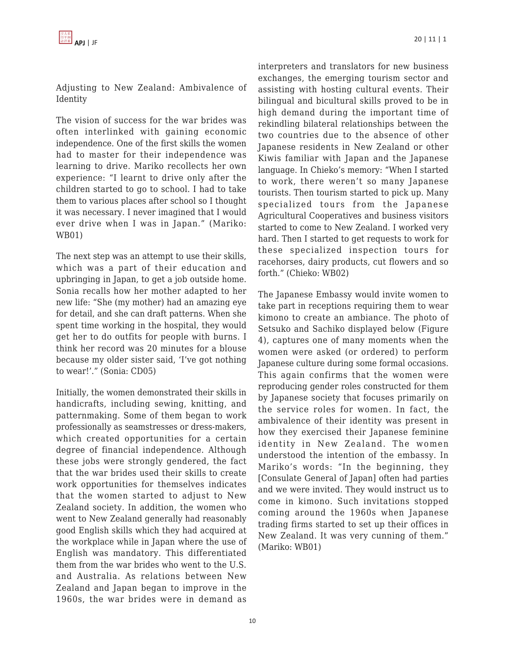#### Adjusting to New Zealand: Ambivalence of Identity

The vision of success for the war brides was often interlinked with gaining economic independence. One of the first skills the women had to master for their independence was learning to drive. Mariko recollects her own experience: "I learnt to drive only after the children started to go to school. I had to take them to various places after school so I thought it was necessary. I never imagined that I would ever drive when I was in Japan." (Mariko: WB01)

The next step was an attempt to use their skills, which was a part of their education and upbringing in Japan, to get a job outside home. Sonia recalls how her mother adapted to her new life: "She (my mother) had an amazing eye for detail, and she can draft patterns. When she spent time working in the hospital, they would get her to do outfits for people with burns. I think her record was 20 minutes for a blouse because my older sister said, 'I've got nothing to wear!'." (Sonia: CD05)

Initially, the women demonstrated their skills in handicrafts, including sewing, knitting, and patternmaking. Some of them began to work professionally as seamstresses or dress-makers, which created opportunities for a certain degree of financial independence. Although these jobs were strongly gendered, the fact that the war brides used their skills to create work opportunities for themselves indicates that the women started to adjust to New Zealand society. In addition, the women who went to New Zealand generally had reasonably good English skills which they had acquired at the workplace while in Japan where the use of English was mandatory. This differentiated them from the war brides who went to the U.S. and Australia. As relations between New Zealand and Japan began to improve in the 1960s, the war brides were in demand as interpreters and translators for new business exchanges, the emerging tourism sector and assisting with hosting cultural events. Their bilingual and bicultural skills proved to be in high demand during the important time of rekindling bilateral relationships between the two countries due to the absence of other Japanese residents in New Zealand or other Kiwis familiar with Japan and the Japanese language. In Chieko's memory: "When I started to work, there weren't so many Japanese tourists. Then tourism started to pick up. Many specialized tours from the Japanese Agricultural Cooperatives and business visitors started to come to New Zealand. I worked very hard. Then I started to get requests to work for these specialized inspection tours for racehorses, dairy products, cut flowers and so forth." (Chieko: WB02)

The Japanese Embassy would invite women to take part in receptions requiring them to wear kimono to create an ambiance. The photo of Setsuko and Sachiko displayed below (Figure 4), captures one of many moments when the women were asked (or ordered) to perform Japanese culture during some formal occasions. This again confirms that the women were reproducing gender roles constructed for them by Japanese society that focuses primarily on the service roles for women. In fact, the ambivalence of their identity was present in how they exercised their Japanese feminine identity in New Zealand. The women understood the intention of the embassy. In Mariko's words: "In the beginning, they [Consulate General of Japan] often had parties and we were invited. They would instruct us to come in kimono. Such invitations stopped coming around the 1960s when Japanese trading firms started to set up their offices in New Zealand. It was very cunning of them." (Mariko: WB01)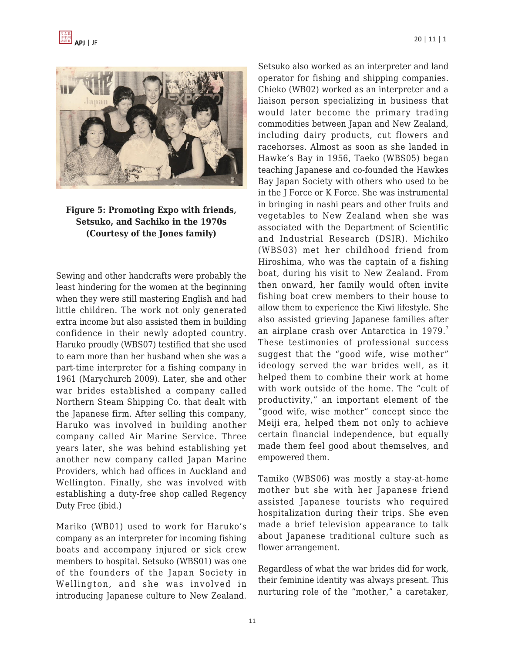



## **Figure 5: Promoting Expo with friends, Setsuko, and Sachiko in the 1970s (Courtesy of the Jones family)**

Sewing and other handcrafts were probably the least hindering for the women at the beginning when they were still mastering English and had little children. The work not only generated extra income but also assisted them in building confidence in their newly adopted country. Haruko proudly (WBS07) testified that she used to earn more than her husband when she was a part-time interpreter for a fishing company in 1961 (Marychurch 2009). Later, she and other war brides established a company called Northern Steam Shipping Co. that dealt with the Japanese firm. After selling this company, Haruko was involved in building another company called Air Marine Service. Three years later, she was behind establishing yet another new company called Japan Marine Providers, which had offices in Auckland and Wellington. Finally, she was involved with establishing a duty-free shop called Regency Duty Free (ibid.)

Mariko (WB01) used to work for Haruko's company as an interpreter for incoming fishing boats and accompany injured or sick crew members to hospital. Setsuko (WBS01) was one of the founders of the Japan Society in Wellington, and she was involved in introducing Japanese culture to New Zealand. Setsuko also worked as an interpreter and land operator for fishing and shipping companies. Chieko (WB02) worked as an interpreter and a liaison person specializing in business that would later become the primary trading commodities between Japan and New Zealand, including dairy products, cut flowers and racehorses. Almost as soon as she landed in Hawke's Bay in 1956, Taeko (WBS05) began teaching Japanese and co-founded the Hawkes Bay Japan Society with others who used to be in the J Force or K Force. She was instrumental in bringing in nashi pears and other fruits and vegetables to New Zealand when she was associated with the Department of Scientific and Industrial Research (DSIR). Michiko (WBS03) met her childhood friend from Hiroshima, who was the captain of a fishing boat, during his visit to New Zealand. From then onward, her family would often invite fishing boat crew members to their house to allow them to experience the Kiwi lifestyle. She also assisted grieving Japanese families after an airplane crash over Antarctica in 1979.<sup>7</sup> These testimonies of professional success suggest that the "good wife, wise mother" ideology served the war brides well, as it helped them to combine their work at home with work outside of the home. The "cult of productivity," an important element of the "good wife, wise mother" concept since the Meiji era, helped them not only to achieve certain financial independence, but equally made them feel good about themselves, and empowered them.

Tamiko (WBS06) was mostly a stay-at-home mother but she with her Japanese friend assisted Japanese tourists who required hospitalization during their trips. She even made a brief television appearance to talk about Japanese traditional culture such as flower arrangement.

Regardless of what the war brides did for work, their feminine identity was always present. This nurturing role of the "mother," a caretaker,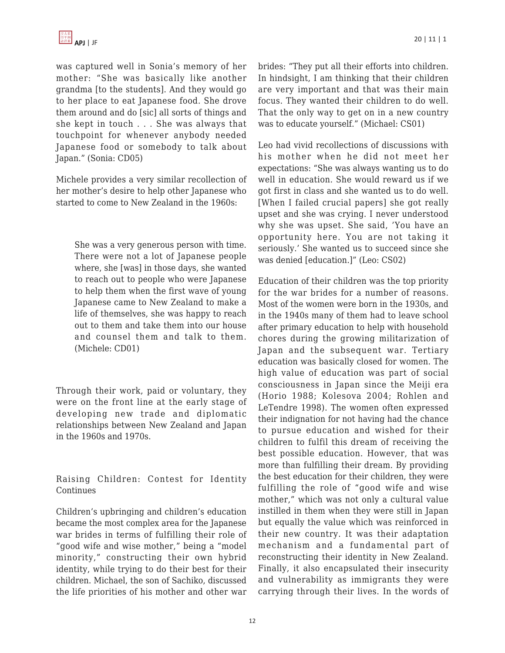was captured well in Sonia's memory of her mother: "She was basically like another grandma [to the students]. And they would go to her place to eat Japanese food. She drove them around and do [sic] all sorts of things and she kept in touch . . . She was always that touchpoint for whenever anybody needed Japanese food or somebody to talk about Japan." (Sonia: CD05)

Michele provides a very similar recollection of her mother's desire to help other Japanese who started to come to New Zealand in the 1960s:

She was a very generous person with time. There were not a lot of Japanese people where, she [was] in those days, she wanted to reach out to people who were Japanese to help them when the first wave of young Japanese came to New Zealand to make a life of themselves, she was happy to reach out to them and take them into our house and counsel them and talk to them. (Michele: CD01)

Through their work, paid or voluntary, they were on the front line at the early stage of developing new trade and diplomatic relationships between New Zealand and Japan in the 1960s and 1970s.

Raising Children: Contest for Identity Continues

Children's upbringing and children's education became the most complex area for the Japanese war brides in terms of fulfilling their role of "good wife and wise mother," being a "model minority," constructing their own hybrid identity, while trying to do their best for their children. Michael, the son of Sachiko, discussed the life priorities of his mother and other war brides: "They put all their efforts into children. In hindsight, I am thinking that their children are very important and that was their main focus. They wanted their children to do well. That the only way to get on in a new country was to educate yourself." (Michael: CS01)

Leo had vivid recollections of discussions with his mother when he did not meet her expectations: "She was always wanting us to do well in education. She would reward us if we got first in class and she wanted us to do well. [When I failed crucial papers] she got really upset and she was crying. I never understood why she was upset. She said, 'You have an opportunity here. You are not taking it seriously.' She wanted us to succeed since she was denied [education.]" (Leo: CS02)

Education of their children was the top priority for the war brides for a number of reasons. Most of the women were born in the 1930s, and in the 1940s many of them had to leave school after primary education to help with household chores during the growing militarization of Japan and the subsequent war. Tertiary education was basically closed for women. The high value of education was part of social consciousness in Japan since the Meiji era (Horio 1988; Kolesova 2004; Rohlen and LeTendre 1998). The women often expressed their indignation for not having had the chance to pursue education and wished for their children to fulfil this dream of receiving the best possible education. However, that was more than fulfilling their dream. By providing the best education for their children, they were fulfilling the role of "good wife and wise mother," which was not only a cultural value instilled in them when they were still in Japan but equally the value which was reinforced in their new country. It was their adaptation mechanism and a fundamental part of reconstructing their identity in New Zealand. Finally, it also encapsulated their insecurity and vulnerability as immigrants they were carrying through their lives. In the words of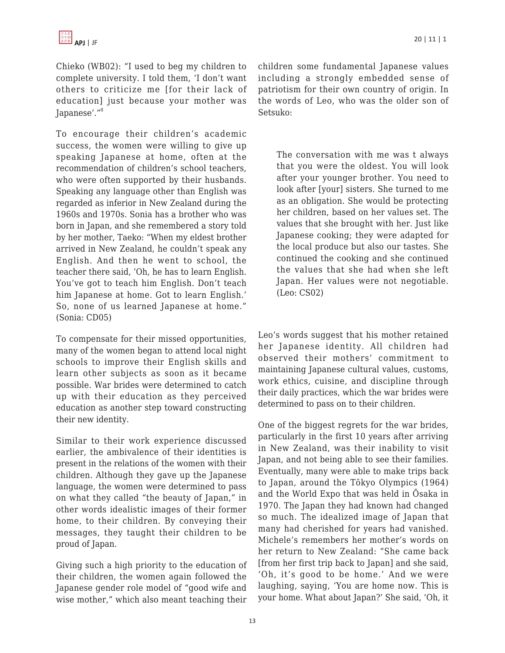Chieko (WB02): "I used to beg my children to complete university. I told them, 'I don't want others to criticize me [for their lack of education] just because your mother was Japanese'."<sup>8</sup>

To encourage their children's academic success, the women were willing to give up speaking Japanese at home, often at the recommendation of children's school teachers, who were often supported by their husbands. Speaking any language other than English was regarded as inferior in New Zealand during the 1960s and 1970s. Sonia has a brother who was born in Japan, and she remembered a story told by her mother, Taeko: "When my eldest brother arrived in New Zealand, he couldn't speak any English. And then he went to school, the teacher there said, 'Oh, he has to learn English. You've got to teach him English. Don't teach him Japanese at home. Got to learn English.' So, none of us learned Japanese at home." (Sonia: CD05)

To compensate for their missed opportunities, many of the women began to attend local night schools to improve their English skills and learn other subjects as soon as it became possible. War brides were determined to catch up with their education as they perceived education as another step toward constructing their new identity.

Similar to their work experience discussed earlier, the ambivalence of their identities is present in the relations of the women with their children. Although they gave up the Japanese language, the women were determined to pass on what they called "the beauty of Japan," in other words idealistic images of their former home, to their children. By conveying their messages, they taught their children to be proud of Japan.

Giving such a high priority to the education of their children, the women again followed the Japanese gender role model of "good wife and wise mother," which also meant teaching their children some fundamental Japanese values including a strongly embedded sense of patriotism for their own country of origin. In the words of Leo, who was the older son of Setsuko:

The conversation with me was t always that you were the oldest. You will look after your younger brother. You need to look after [your] sisters. She turned to me as an obligation. She would be protecting her children, based on her values set. The values that she brought with her. Just like Japanese cooking; they were adapted for the local produce but also our tastes. She continued the cooking and she continued the values that she had when she left Japan. Her values were not negotiable. (Leo: CS02)

Leo's words suggest that his mother retained her Japanese identity. All children had observed their mothers' commitment to maintaining Japanese cultural values, customs, work ethics, cuisine, and discipline through their daily practices, which the war brides were determined to pass on to their children.

One of the biggest regrets for the war brides, particularly in the first 10 years after arriving in New Zealand, was their inability to visit Japan, and not being able to see their families. Eventually, many were able to make trips back to Japan, around the Tōkyo Olympics (1964) and the World Expo that was held in Ōsaka in 1970. The Japan they had known had changed so much. The idealized image of Japan that many had cherished for years had vanished. Michele's remembers her mother's words on her return to New Zealand: "She came back [from her first trip back to Japan] and she said, 'Oh, it's good to be home.' And we were laughing, saying, 'You are home now. This is your home. What about Japan?' She said, 'Oh, it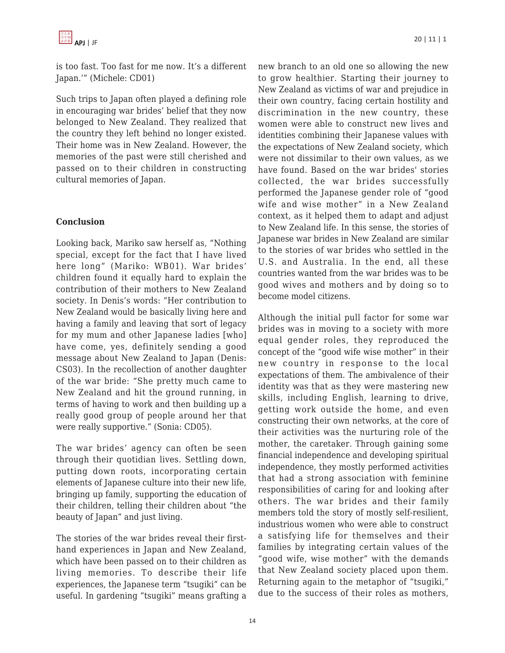is too fast. Too fast for me now. It's a different Japan.'" (Michele: CD01)

Such trips to Japan often played a defining role in encouraging war brides' belief that they now belonged to New Zealand. They realized that the country they left behind no longer existed. Their home was in New Zealand. However, the memories of the past were still cherished and passed on to their children in constructing cultural memories of Japan.

## **Conclusion**

Looking back, Mariko saw herself as, "Nothing special, except for the fact that I have lived here long" (Mariko: WB01). War brides' children found it equally hard to explain the contribution of their mothers to New Zealand society. In Denis's words: "Her contribution to New Zealand would be basically living here and having a family and leaving that sort of legacy for my mum and other Japanese ladies [who] have come, yes, definitely sending a good message about New Zealand to Japan (Denis: CS03). In the recollection of another daughter of the war bride: "She pretty much came to New Zealand and hit the ground running, in terms of having to work and then building up a really good group of people around her that were really supportive." (Sonia: CD05).

The war brides' agency can often be seen through their quotidian lives. Settling down, putting down roots, incorporating certain elements of Japanese culture into their new life, bringing up family, supporting the education of their children, telling their children about "the beauty of Japan" and just living.

The stories of the war brides reveal their firsthand experiences in Japan and New Zealand, which have been passed on to their children as living memories. To describe their life experiences, the Japanese term "tsugiki" can be useful. In gardening "tsugiki" means grafting a

new branch to an old one so allowing the new to grow healthier. Starting their journey to New Zealand as victims of war and prejudice in their own country, facing certain hostility and discrimination in the new country, these women were able to construct new lives and identities combining their Japanese values with the expectations of New Zealand society, which were not dissimilar to their own values, as we have found. Based on the war brides' stories collected, the war brides successfully performed the Japanese gender role of "good wife and wise mother" in a New Zealand context, as it helped them to adapt and adjust to New Zealand life. In this sense, the stories of Japanese war brides in New Zealand are similar to the stories of war brides who settled in the U.S. and Australia. In the end, all these countries wanted from the war brides was to be good wives and mothers and by doing so to become model citizens.

Although the initial pull factor for some war brides was in moving to a society with more equal gender roles, they reproduced the concept of the "good wife wise mother" in their new country in response to the local expectations of them. The ambivalence of their identity was that as they were mastering new skills, including English, learning to drive, getting work outside the home, and even constructing their own networks, at the core of their activities was the nurturing role of the mother, the caretaker. Through gaining some financial independence and developing spiritual independence, they mostly performed activities that had a strong association with feminine responsibilities of caring for and looking after others. The war brides and their family members told the story of mostly self-resilient, industrious women who were able to construct a satisfying life for themselves and their families by integrating certain values of the "good wife, wise mother" with the demands that New Zealand society placed upon them. Returning again to the metaphor of "tsugiki," due to the success of their roles as mothers,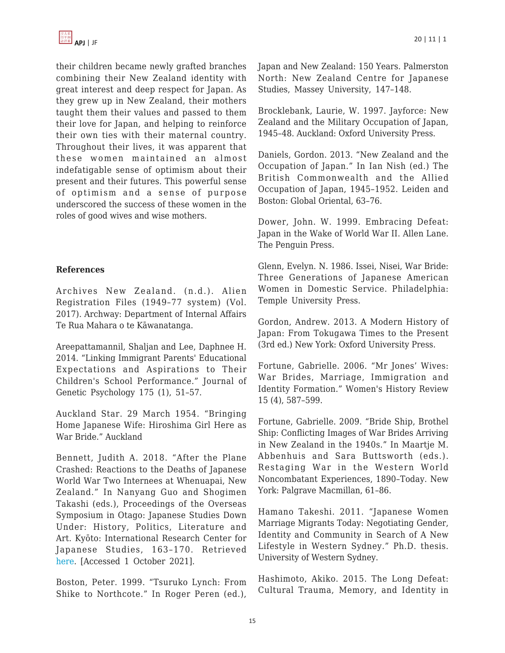

their children became newly grafted branches combining their New Zealand identity with great interest and deep respect for Japan. As they grew up in New Zealand, their mothers taught them their values and passed to them their love for Japan, and helping to reinforce their own ties with their maternal country. Throughout their lives, it was apparent that these women maintained an almost indefatigable sense of optimism about their present and their futures. This powerful sense of optimism and a sense of purpose underscored the success of these women in the roles of good wives and wise mothers.

#### **References**

Archives New Zealand. (n.d.). Alien Registration Files (1949–77 system) (Vol. 2017). Archway: Department of Internal Affairs Te Rua Mahara o te Kāwanatanga.

Areepattamannil, Shaljan and Lee, Daphnee H. 2014. "Linking Immigrant Parents' Educational Expectations and Aspirations to Their Children's School Performance." Journal of Genetic Psychology 175 (1), 51–57.

Auckland Star. 29 March 1954. "Bringing Home Japanese Wife: Hiroshima Girl Here as War Bride." Auckland

Bennett, Judith A. 2018. "After the Plane Crashed: Reactions to the Deaths of Japanese World War Two Internees at Whenuapai, New Zealand." In Nanyang Guo and Shogimen Takashi (eds.), Proceedings of the Overseas Symposium in Otago: Japanese Studies Down Under: History, Politics, Literature and Art. Kyōto: International Research Center for Japanese Studies, 163–170. Retrieved [here.](http://publications.nichibun.ac.jp/en/item/symp/2018–03–30/pub) [Accessed 1 October 2021].

Boston, Peter. 1999. "Tsuruko Lynch: From Shike to Northcote." In Roger Peren (ed.), Japan and New Zealand: 150 Years. Palmerston North: New Zealand Centre for Japanese Studies, Massey University, 147–148.

Brocklebank, Laurie, W. 1997. Jayforce: New Zealand and the Military Occupation of Japan, 1945–48. Auckland: Oxford University Press.

Daniels, Gordon. 2013. "New Zealand and the Occupation of Japan." In Ian Nish (ed.) The British Commonwealth and the Allied Occupation of Japan, 1945–1952. Leiden and Boston: Global Oriental, 63–76.

Dower, John. W. 1999. Embracing Defeat: Japan in the Wake of World War II. Allen Lane. The Penguin Press.

Glenn, Evelyn. N. 1986. Issei, Nisei, War Bride: Three Generations of Japanese American Women in Domestic Service. Philadelphia: Temple University Press.

Gordon, Andrew. 2013. A Modern History of Japan: From Tokugawa Times to the Present (3rd ed.) New York: Oxford University Press.

Fortune, Gabrielle. 2006. "Mr Jones' Wives: War Brides, Marriage, Immigration and Identity Formation." Women's History Review 15 (4), 587–599.

Fortune, Gabrielle. 2009. "Bride Ship, Brothel Ship: Conflicting Images of War Brides Arriving in New Zealand in the 1940s." In Maartje M. Abbenhuis and Sara Buttsworth (eds.). Restaging War in the Western World Noncombatant Experiences, 1890–Today. New York: Palgrave Macmillan, 61–86.

Hamano Takeshi. 2011. "Japanese Women Marriage Migrants Today: Negotiating Gender, Identity and Community in Search of A New Lifestyle in Western Sydney." Ph.D. thesis. University of Western Sydney.

Hashimoto, Akiko. 2015. The Long Defeat: Cultural Trauma, Memory, and Identity in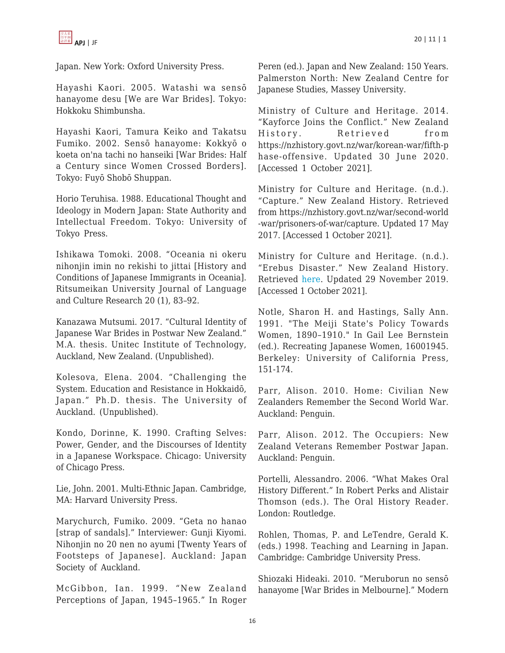

Japan. New York: Oxford University Press.

Hayashi Kaori. 2005. Watashi wa sensō hanayome desu [We are War Brides]. Tokyo: Hokkoku Shimbunsha.

Hayashi Kaori, Tamura Keiko and Takatsu Fumiko. 2002. Sensō hanayome: Kokkyō o koeta on'na tachi no hanseiki [War Brides: Half a Century since Women Crossed Borders]. Tokyo: Fuyō Shobō Shuppan.

Horio Teruhisa. 1988. Educational Thought and Ideology in Modern Japan: State Authority and Intellectual Freedom. Tokyo: University of Tokyo Press.

Ishikawa Tomoki. 2008. "Oceania ni okeru nihonjin imin no rekishi to jittai [History and Conditions of Japanese Immigrants in Oceania]. Ritsumeikan University Journal of Language and Culture Research 20 (1), 83–92.

Kanazawa Mutsumi. 2017. "Cultural Identity of Japanese War Brides in Postwar New Zealand." M.A. thesis. Unitec Institute of Technology, Auckland, New Zealand. (Unpublished).

Kolesova, Elena. 2004. "Challenging the System. Education and Resistance in Hokkaidō, Japan." Ph.D. thesis. The University of Auckland. (Unpublished).

Kondo, Dorinne, K. 1990. Crafting Selves: Power, Gender, and the Discourses of Identity in a Japanese Workspace. Chicago: University of Chicago Press.

Lie, John. 2001. Multi-Ethnic Japan. Cambridge, MA: Harvard University Press.

Marychurch, Fumiko. 2009. "Geta no hanao [strap of sandals]." Interviewer: Gunji Kiyomi. Nihonjin no 20 nen no ayumi [Twenty Years of Footsteps of Japanese]. Auckland: Japan Society of Auckland.

McGibbon, Ian. 1999. "New Zealand Perceptions of Japan, 1945–1965." In Roger Peren (ed.). Japan and New Zealand: 150 Years. Palmerston North: New Zealand Centre for Japanese Studies, Massey University.

Ministry of Culture and Heritage. 2014. "Kayforce Joins the Conflict." New Zealand History. Retrieved from https://nzhistory.govt.nz/war/korean-war/fifth-p hase-offensive. Updated 30 June 2020. [Accessed 1 October 2021].

Ministry for Culture and Heritage. (n.d.). "Capture." New Zealand History. Retrieved from https://nzhistory.govt.nz/war/second-world -war/prisoners-of-war/capture. Updated 17 May 2017. [Accessed 1 October 2021].

Ministry for Culture and Heritage. (n.d.). "Erebus Disaster." New Zealand History. Retrieved [here.](https://nzhistory.govt.nz/culture/erebus-disaster) Updated 29 November 2019. [Accessed 1 October 2021].

Notle, Sharon H. and Hastings, Sally Ann. 1991. "The Meiji State's Policy Towards Women, 1890–1910." In Gail Lee Bernstein (ed.). Recreating Japanese Women, 16001945. Berkeley: University of California Press, 151-174.

Parr, Alison. 2010. Home: Civilian New Zealanders Remember the Second World War. Auckland: Penguin.

Parr, Alison. 2012. The Occupiers: New Zealand Veterans Remember Postwar Japan. Auckland: Penguin.

Portelli, Alessandro. 2006. "What Makes Oral History Different." In Robert Perks and Alistair Thomson (eds.). The Oral History Reader. London: Routledge.

Rohlen, Thomas, P. and LeTendre, Gerald K. (eds.) 1998. Teaching and Learning in Japan. Cambridge: Cambridge University Press.

Shiozaki Hideaki. 2010. "Meruborun no sensō hanayome [War Brides in Melbourne]." Modern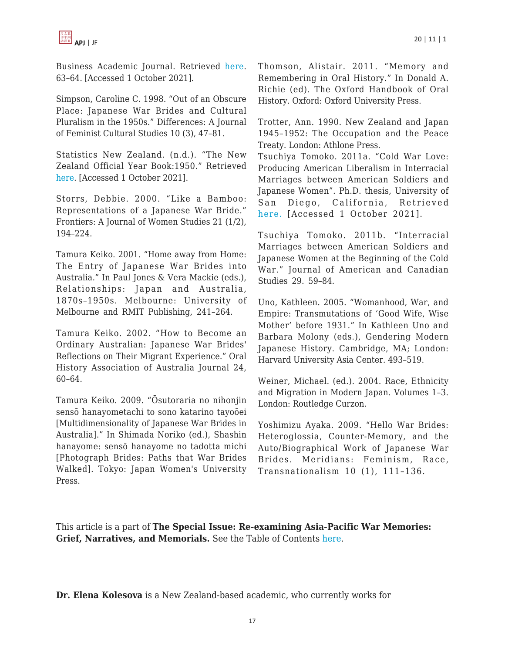Business Academic Journal. Retrieved [here.](https://www.yasuda-u.ac.jp/course/business/basic/letterzine/images/2010YasudaCBS.pdf) 63–64. [Accessed 1 October 2021].

Simpson, Caroline C. 1998. "Out of an Obscure Place: Japanese War Brides and Cultural Pluralism in the 1950s." Differences: A Journal of Feminist Cultural Studies 10 (3), 47–81.

Statistics New Zealand. (n.d.). "The New Zealand Official Year Book:1950." Retrieved [here.](https://www3.stats.govt.nz/New_Zealand_Official_Yearbooks/1950/NZOYB_1950.html#idsect1_1_1163) [Accessed 1 October 2021].

Storrs, Debbie. 2000. "Like a Bamboo: Representations of a Japanese War Bride." Frontiers: A Journal of Women Studies 21 (1/2), 194–224.

Tamura Keiko. 2001. "Home away from Home: The Entry of Japanese War Brides into Australia." In Paul Jones & Vera Mackie (eds.), Relationships: Japan and Australia, 1870s–1950s. Melbourne: University of Melbourne and RMIT Publishing, 241–264.

Tamura Keiko. 2002. "How to Become an Ordinary Australian: Japanese War Brides' Reflections on Their Migrant Experience." Oral History Association of Australia Journal 24, 60–64.

Tamura Keiko. 2009. "Ōsutoraria no nihonjin sensō hanayometachi to sono katarino tayoōei [Multidimensionality of Japanese War Brides in Australia]." In Shimada Noriko (ed.), Shashin hanayome: sensō hanayome no tadotta michi [Photograph Brides: Paths that War Brides Walked]. Tokyo: Japan Women's University Press.

Thomson, Alistair. 2011. "Memory and Remembering in Oral History." In Donald A. Richie (ed). The Oxford Handbook of Oral History. Oxford: Oxford University Press.

Trotter, Ann. 1990. New Zealand and Japan 1945–1952: The Occupation and the Peace Treaty. London: Athlone Press.

Tsuchiya Tomoko. 2011a. "Cold War Love: Producing American Liberalism in Interracial Marriages between American Soldiers and Japanese Women". Ph.D. thesis, University of San Diego, California, Retrieved [here.](http://www.escholarship.org/uc/item/1z7699pn?query=Tsuchiya) [Accessed 1 October 2021].

Tsuchiya Tomoko. 2011b. "Interracial Marriages between American Soldiers and Japanese Women at the Beginning of the Cold War." Journal of American and Canadian Studies 29. 59–84.

Uno, Kathleen. 2005. "Womanhood, War, and Empire: Transmutations of 'Good Wife, Wise Mother' before 1931." In Kathleen Uno and Barbara Molony (eds.), Gendering Modern Japanese History. Cambridge, MA; London: Harvard University Asia Center. 493–519.

Weiner, Michael. (ed.). 2004. Race, Ethnicity and Migration in Modern Japan. Volumes 1–3. London: Routledge Curzon.

Yoshimizu Ayaka. 2009. "Hello War Brides: Heteroglossia, Counter-Memory, and the Auto/Biographical Work of Japanese War Brides. Meridians: Feminism, Race, Transnationalism 10 (1), 111–136.

This article is a part of **The Special Issue: Re-examining Asia-Pacific War Memories: Grief, Narratives, and Memorials.** See the Table of Contents [here.](https://apjjf.org/2022/10/ToC.html)

**Dr. Elena Kolesova** is a New Zealand-based academic, who currently works for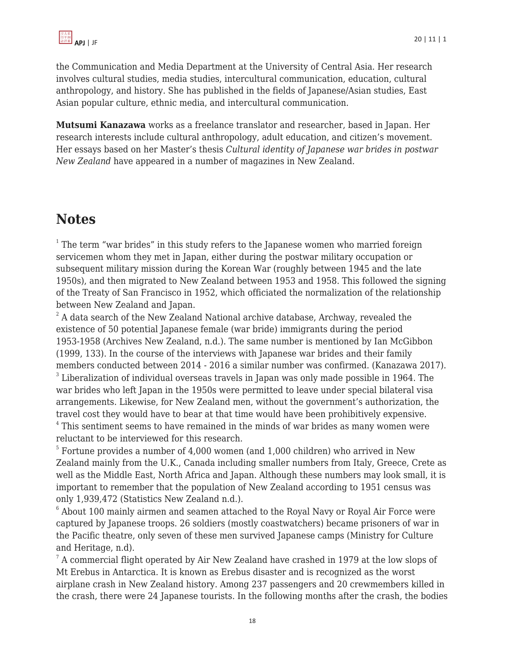the Communication and Media Department at the University of Central Asia. Her research involves cultural studies, media studies, intercultural communication, education, cultural anthropology, and history. She has published in the fields of Japanese/Asian studies, East Asian popular culture, ethnic media, and intercultural communication.

**Mutsumi Kanazawa** works as a freelance translator and researcher, based in Japan. Her research interests include cultural anthropology, adult education, and citizen's movement. Her essays based on her Master's thesis *Cultural identity of Japanese war brides in postwar New Zealand* have appeared in a number of magazines in New Zealand.

# **Notes**

 $1$  The term "war brides" in this study refers to the Japanese women who married foreign servicemen whom they met in Japan, either during the postwar military occupation or subsequent military mission during the Korean War (roughly between 1945 and the late 1950s), and then migrated to New Zealand between 1953 and 1958. This followed the signing of the Treaty of San Francisco in 1952, which officiated the normalization of the relationship between New Zealand and Japan.

 $^2$  A data search of the New Zealand National archive database, Archway, revealed the existence of 50 potential Japanese female (war bride) immigrants during the period 1953-1958 (Archives New Zealand, n.d.). The same number is mentioned by Ian McGibbon (1999, 133). In the course of the interviews with Japanese war brides and their family members conducted between 2014 - 2016 a similar number was confirmed. (Kanazawa 2017).  $3$  Liberalization of individual overseas travels in Japan was only made possible in 1964. The war brides who left Japan in the 1950s were permitted to leave under special bilateral visa arrangements. Likewise, for New Zealand men, without the government's authorization, the travel cost they would have to bear at that time would have been prohibitively expensive.

<sup>4</sup> This sentiment seems to have remained in the minds of war brides as many women were reluctant to be interviewed for this research.

 $^5$  Fortune provides a number of 4,000 women (and 1,000 children) who arrived in New Zealand mainly from the U.K., Canada including smaller numbers from Italy, Greece, Crete as well as the Middle East, North Africa and Japan. Although these numbers may look small, it is important to remember that the population of New Zealand according to 1951 census was only 1,939,472 (Statistics New Zealand n.d.).

 $^6$  About 100 mainly airmen and seamen attached to the Royal Navy or Royal Air Force were captured by Japanese troops. 26 soldiers (mostly coastwatchers) became prisoners of war in the Pacific theatre, only seven of these men survived Japanese camps (Ministry for Culture and Heritage, n.d).

 $^7$  A commercial flight operated by Air New Zealand have crashed in 1979 at the low slops of Mt Erebus in Antarctica. It is known as Erebus disaster and is recognized as the worst airplane crash in New Zealand history. Among 237 passengers and 20 crewmembers killed in the crash, there were 24 Japanese tourists. In the following months after the crash, the bodies